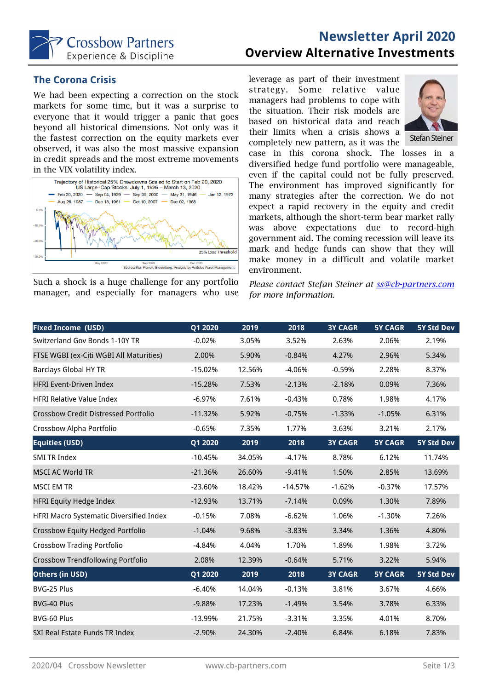

# **Newsletter April 2020 Overview Alternative Investments**

## **The Corona Crisis**

We had been expecting a correction on the stock markets for some time, but it was a surprise to everyone that it would trigger a panic that goes beyond all historical dimensions. Not only was it the fastest correction on the equity markets ever observed, it was also the most massive expansion in credit spreads and the most extreme movements in the VIX volatility index.



Such a shock is a huge challenge for any portfolio manager, and especially for managers who use leverage as part of their investment strategy. Some relative value managers had problems to cope with the situation. Their risk models are based on historical data and reach their limits when a crisis shows a completely new pattern, as it was the



case in this corona shock. The losses in a diversified hedge fund portfolio were manageable, even if the capital could not be fully preserved. The environment has improved significantly for many strategies after the correction. We do not expect a rapid recovery in the equity and credit markets, although the short-term bear market rally was above expectations due to record-high government aid. The coming recession will leave its mark and hedge funds can show that they will make money in a difficult and volatile market environment.

*Please contact Stefan Steiner at [ss@cb-partners.com](mailto:ss@cb-partners.com?subject=Newsletter%20April%202020) for more information.*

| <b>Fixed Income (USD)</b>                   | Q1 2020   | 2019   | 2018      | <b>3Y CAGR</b> | <b>5Y CAGR</b> | 5Y Std Dev |
|---------------------------------------------|-----------|--------|-----------|----------------|----------------|------------|
| Switzerland Gov Bonds 1-10Y TR              | $-0.02%$  | 3.05%  | 3.52%     | 2.63%          | 2.06%          | 2.19%      |
| FTSE WGBI (ex-Citi WGBI All Maturities)     | 2.00%     | 5.90%  | $-0.84%$  | 4.27%          | 2.96%          | 5.34%      |
| <b>Barclays Global HY TR</b>                | $-15.02%$ | 12.56% | $-4.06%$  | $-0.59%$       | 2.28%          | 8.37%      |
| <b>HFRI Event-Driven Index</b>              | $-15.28%$ | 7.53%  | $-2.13%$  | $-2.18%$       | 0.09%          | 7.36%      |
| <b>HFRI Relative Value Index</b>            | $-6.97%$  | 7.61%  | $-0.43%$  | 0.78%          | 1.98%          | 4.17%      |
| <b>Crossbow Credit Distressed Portfolio</b> | $-11.32%$ | 5.92%  | $-0.75%$  | $-1.33%$       | $-1.05%$       | 6.31%      |
| Crossbow Alpha Portfolio                    | $-0.65%$  | 7.35%  | 1.77%     | 3.63%          | 3.21%          | 2.17%      |
| <b>Equities (USD)</b>                       | Q1 2020   | 2019   | 2018      | <b>3Y CAGR</b> | <b>5Y CAGR</b> | 5Y Std Dev |
| <b>SMI TR Index</b>                         | $-10.45%$ | 34.05% | $-4.17%$  | 8.78%          | 6.12%          | 11.74%     |
| <b>MSCI AC World TR</b>                     | $-21.36%$ | 26.60% | $-9.41%$  | 1.50%          | 2.85%          | 13.69%     |
| <b>MSCI EM TR</b>                           | $-23.60%$ | 18.42% | $-14.57%$ | $-1.62%$       | $-0.37%$       | 17.57%     |
| <b>HFRI Equity Hedge Index</b>              | $-12.93%$ | 13.71% | $-7.14%$  | 0.09%          | 1.30%          | 7.89%      |
| HFRI Macro Systematic Diversified Index     | $-0.15%$  | 7.08%  | $-6.62%$  | 1.06%          | $-1.30%$       | 7.26%      |
| Crossbow Equity Hedged Portfolio            | $-1.04%$  | 9.68%  | $-3.83%$  | 3.34%          | 1.36%          | 4.80%      |
| <b>Crossbow Trading Portfolio</b>           | $-4.84%$  | 4.04%  | 1.70%     | 1.89%          | 1.98%          | 3.72%      |
| <b>Crossbow Trendfollowing Portfolio</b>    | 2.08%     | 12.39% | $-0.64%$  | 5.71%          | 3.22%          | 5.94%      |
| Others (in USD)                             | Q1 2020   | 2019   | 2018      | <b>3Y CAGR</b> | <b>5Y CAGR</b> | 5Y Std Dev |
| BVG-25 Plus                                 | $-6.40%$  | 14.04% | $-0.13%$  | 3.81%          | 3.67%          | 4.66%      |
| BVG-40 Plus                                 | $-9.88%$  | 17.23% | $-1.49%$  | 3.54%          | 3.78%          | 6.33%      |
| BVG-60 Plus                                 | -13.99%   | 21.75% | $-3.31%$  | 3.35%          | 4.01%          | 8.70%      |
| SXI Real Estate Funds TR Index              | $-2.90%$  | 24.30% | $-2.40%$  | 6.84%          | 6.18%          | 7.83%      |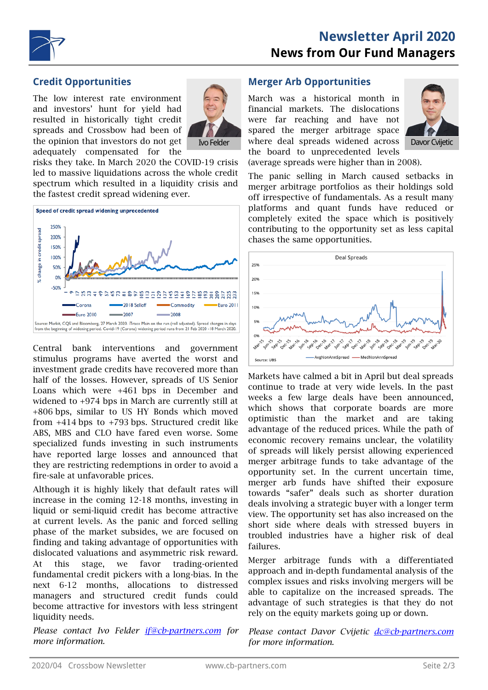



## **Credit Opportunities**

The low interest rate environment and investors' hunt for yield had resulted in historically tight credit spreads and Crossbow had been of the opinion that investors do not get adequately compensated for the



risks they take. In March 2020 the COVID-19 crisis led to massive liquidations across the whole credit spectrum which resulted in a liquidity crisis and the fastest credit spread widening ever.



Central bank interventions and government stimulus programs have averted the worst and investment grade credits have recovered more than half of the losses. However, spreads of US Senior Loans which were +461 bps in December and widened to +974 bps in March are currently still at +806 bps, similar to US HY Bonds which moved from  $+414$  bps to  $+793$  bps. Structured credit like ABS, MBS and CLO have fared even worse. Some specialized funds investing in such instruments have reported large losses and announced that they are restricting redemptions in order to avoid a fire-sale at unfavorable prices.

Although it is highly likely that default rates will increase in the coming 12-18 months, investing in liquid or semi-liquid credit has become attractive at current levels. As the panic and forced selling phase of the market subsides, we are focused on finding and taking advantage of opportunities with dislocated valuations and asymmetric risk reward. At this stage, we favor trading-oriented fundamental credit pickers with a long-bias. In the next 6-12 months, allocations to distressed managers and structured credit funds could become attractive for investors with less stringent liquidity needs.

*Please contact Ivo Felder [if@cb-partners.com](mailto:if@cb-partners.com?subject=Newsletter%20April%202020) for more information.*

#### **Merger Arb Opportunities**

March was a historical month in financial markets. The dislocations were far reaching and have not spared the merger arbitrage space Ivo Felder Mohere deal spreads widened across Davor Cvijetic the board to unprecedented levels (average spreads were higher than in 2008).



The panic selling in March caused setbacks in merger arbitrage portfolios as their holdings sold off irrespective of fundamentals. As a result many platforms and quant funds have reduced or completely exited the space which is positively contributing to the opportunity set as less capital chases the same opportunities.



Markets have calmed a bit in April but deal spreads continue to trade at very wide levels. In the past weeks a few large deals have been announced, which shows that corporate boards are more optimistic than the market and are taking advantage of the reduced prices. While the path of economic recovery remains unclear, the volatility of spreads will likely persist allowing experienced merger arbitrage funds to take advantage of the opportunity set. In the current uncertain time, merger arb funds have shifted their exposure towards "safer" deals such as shorter duration deals involving a strategic buyer with a longer term view. The opportunity set has also increased on the short side where deals with stressed buyers in troubled industries have a higher risk of deal failures.

Merger arbitrage funds with a differentiated approach and in-depth fundamental analysis of the complex issues and risks involving mergers will be able to capitalize on the increased spreads. The advantage of such strategies is that they do not rely on the equity markets going up or down.

*Please contact Davor Cvijetic [dc@cb-partners.com](mailto:dc@cb-partners.com?subject=Newsletter%20April%202020) for more information.*